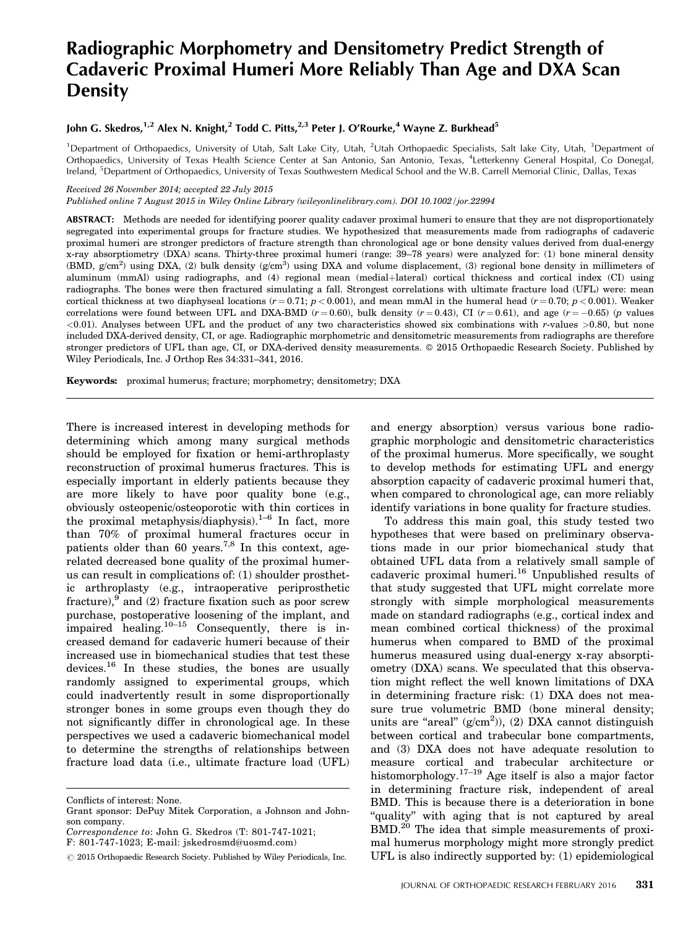# Radiographic Morphometry and Densitometry Predict Strength of Cadaveric Proximal Humeri More Reliably Than Age and DXA Scan **Density**

# John G. Skedros,<sup>1,2</sup> Alex N. Knight,<sup>2</sup> Todd C. Pitts,<sup>2,3</sup> Peter J. O'Rourke,<sup>4</sup> Wayne Z. Burkhead<sup>5</sup>

<sup>1</sup>Department of Orthopaedics, University of Utah, Salt Lake City, Utah, <sup>2</sup>Utah Orthopaedic Specialists, Salt lake City, Utah, <sup>3</sup>Department of Orthopaedics, University of Texas Health Science Center at San Antonio, San Antonio, Texas, <sup>4</sup> Letterkenny General Hospital, Co Donegal, Ireland, <sup>5</sup>Department of Orthopaedics, University of Texas Southwestern Medical School and the W.B. Carrell Memorial Clinic, Dallas, Texas

### Received 26 November 2014; accepted 22 July 2015

Published online 7 August 2015 in Wiley Online Library (wileyonlinelibrary.com). DOI 10.1002/jor.22994

ABSTRACT: Methods are needed for identifying poorer quality cadaver proximal humeri to ensure that they are not disproportionately segregated into experimental groups for fracture studies. We hypothesized that measurements made from radiographs of cadaveric proximal humeri are stronger predictors of fracture strength than chronological age or bone density values derived from dual-energy x-ray absorptiometry (DXA) scans. Thirty-three proximal humeri (range: 39–78 years) were analyzed for: (1) bone mineral density (BMD,  $g/cm^2$ ) using DXA, (2) bulk density  $(g/cm^3)$  using DXA and volume displacement, (3) regional bone density in millimeters of aluminum (mmAl) using radiographs, and (4) regional mean (medial+lateral) cortical thickness and cortical index (CI) using radiographs. The bones were then fractured simulating a fall. Strongest correlations with ultimate fracture load (UFL) were: mean cortical thickness at two diaphyseal locations  $(r = 0.71; p < 0.001)$ , and mean mmAl in the humeral head  $(r = 0.70; p < 0.001)$ . Weaker correlations were found between UFL and DXA-BMD  $(r = 0.60)$ , bulk density  $(r = 0.43)$ , CI  $(r = 0.61)$ , and age  $(r = -0.65)$   $(p$  values  $(0.01)$ . Analyses between UFL and the product of any two characteristics showed six combinations with r-values  $>0.80$ , but none included DXA-derived density, CI, or age. Radiographic morphometric and densitometric measurements from radiographs are therefore stronger predictors of UFL than age, CI, or DXA-derived density measurements. 2015 Orthopaedic Research Society. Published by Wiley Periodicals, Inc. J Orthop Res 34:331–341, 2016.

Keywords: proximal humerus; fracture; morphometry; densitometry; DXA

There is increased interest in developing methods for determining which among many surgical methods should be employed for fixation or hemi-arthroplasty reconstruction of proximal humerus fractures. This is especially important in elderly patients because they are more likely to have poor quality bone (e.g., obviously osteopenic/osteoporotic with thin cortices in the proximal metaphysis/diaphysis). $1-6$  In fact, more than 70% of proximal humeral fractures occur in patients older than 60 years.<sup>7,8</sup> In this context, agerelated decreased bone quality of the proximal humerus can result in complications of: (1) shoulder prosthetic arthroplasty (e.g., intraoperative periprosthetic fracture), $9 \text{ and } (2)$  fracture fixation such as poor screw purchase, postoperative loosening of the implant, and impaired healing. $10-15$  Consequently, there is increased demand for cadaveric humeri because of their increased use in biomechanical studies that test these devices.<sup>16</sup> In these studies, the bones are usually randomly assigned to experimental groups, which could inadvertently result in some disproportionally stronger bones in some groups even though they do not significantly differ in chronological age. In these perspectives we used a cadaveric biomechanical model to determine the strengths of relationships between fracture load data (i.e., ultimate fracture load (UFL)

and energy absorption) versus various bone radiographic morphologic and densitometric characteristics of the proximal humerus. More specifically, we sought to develop methods for estimating UFL and energy absorption capacity of cadaveric proximal humeri that, when compared to chronological age, can more reliably identify variations in bone quality for fracture studies.

To address this main goal, this study tested two hypotheses that were based on preliminary observations made in our prior biomechanical study that obtained UFL data from a relatively small sample of cadaveric proximal humeri.<sup>16</sup> Unpublished results of that study suggested that UFL might correlate more strongly with simple morphological measurements made on standard radiographs (e.g., cortical index and mean combined cortical thickness) of the proximal humerus when compared to BMD of the proximal humerus measured using dual-energy x-ray absorptiometry (DXA) scans. We speculated that this observation might reflect the well known limitations of DXA in determining fracture risk: (1) DXA does not measure true volumetric BMD (bone mineral density; units are "areal"  $(g/cm<sup>2</sup>)$ ), (2) DXA cannot distinguish between cortical and trabecular bone compartments, and (3) DXA does not have adequate resolution to measure cortical and trabecular architecture or histomorphology.<sup>17–19</sup> Age itself is also a major factor in determining fracture risk, independent of areal BMD. This is because there is a deterioration in bone "quality" with aging that is not captured by areal BMD.<sup>20</sup> The idea that simple measurements of proximal humerus morphology might more strongly predict UFL is also indirectly supported by: (1) epidemiological

Conflicts of interest: None.

Grant sponsor: DePuy Mitek Corporation, a Johnson and Johnson company.

Correspondence to: John G. Skedros (T: 801-747-1021;

F: 801-747-1023; E-mail: jskedrosmd@uosmd.com)

 $\odot$  2015 Orthopaedic Research Society. Published by Wiley Periodicals, Inc.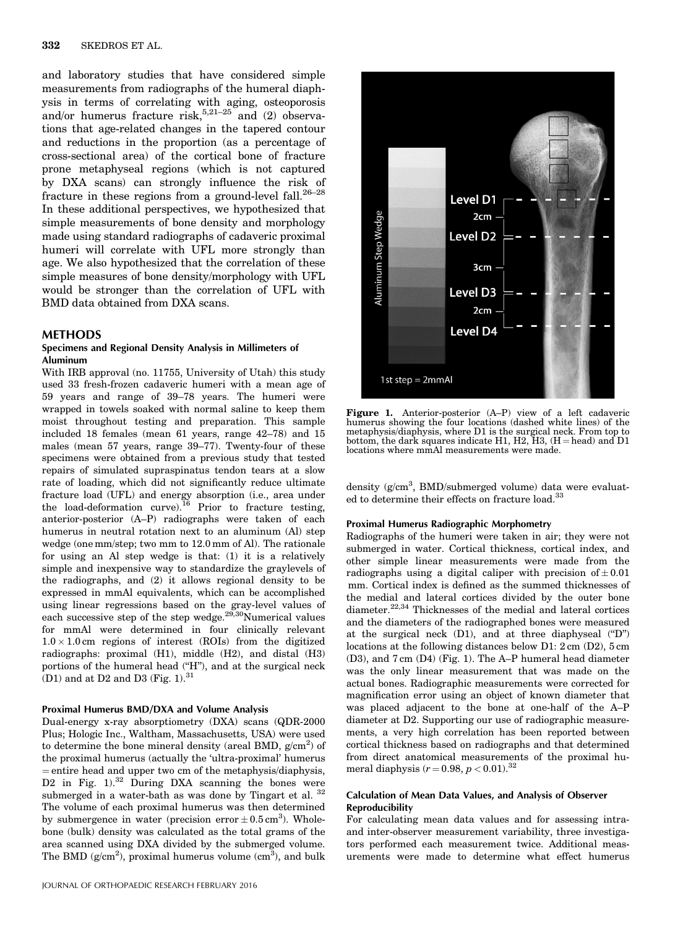and laboratory studies that have considered simple measurements from radiographs of the humeral diaphysis in terms of correlating with aging, osteoporosis and/or humerus fracture risk,  $5.21-25$  and (2) observations that age-related changes in the tapered contour and reductions in the proportion (as a percentage of cross-sectional area) of the cortical bone of fracture prone metaphyseal regions (which is not captured by DXA scans) can strongly influence the risk of fracture in these regions from a ground-level fall. $26-28$ In these additional perspectives, we hypothesized that simple measurements of bone density and morphology made using standard radiographs of cadaveric proximal humeri will correlate with UFL more strongly than age. We also hypothesized that the correlation of these simple measures of bone density/morphology with UFL would be stronger than the correlation of UFL with BMD data obtained from DXA scans.

# **METHODS**

## Specimens and Regional Density Analysis in Millimeters of Aluminum

With IRB approval (no. 11755, University of Utah) this study used 33 fresh-frozen cadaveric humeri with a mean age of 59 years and range of 39–78 years. The humeri were wrapped in towels soaked with normal saline to keep them moist throughout testing and preparation. This sample included 18 females (mean 61 years, range 42–78) and 15 males (mean 57 years, range 39–77). Twenty-four of these specimens were obtained from a previous study that tested repairs of simulated supraspinatus tendon tears at a slow rate of loading, which did not significantly reduce ultimate fracture load (UFL) and energy absorption (i.e., area under the load-deformation curve).<sup>16</sup> Prior to fracture testing, anterior-posterior (A–P) radiographs were taken of each humerus in neutral rotation next to an aluminum (Al) step wedge (one mm/step; two mm to 12.0 mm of Al). The rationale for using an Al step wedge is that: (1) it is a relatively simple and inexpensive way to standardize the graylevels of the radiographs, and (2) it allows regional density to be expressed in mmAl equivalents, which can be accomplished using linear regressions based on the gray-level values of each successive step of the step wedge. $29,30$ Numerical values for mmAl were determined in four clinically relevant  $1.0 \times 1.0$  cm regions of interest (ROIs) from the digitized radiographs: proximal (H1), middle (H2), and distal (H3) portions of the humeral head ("H"), and at the surgical neck (D1) and at D2 and D3 (Fig.  $1).^{\mathrm{31}}$ 

#### Proximal Humerus BMD/DXA and Volume Analysis

Dual-energy x-ray absorptiometry (DXA) scans (QDR-2000 Plus; Hologic Inc., Waltham, Massachusetts, USA) were used to determine the bone mineral density (areal BMD,  $g/cm^2$ ) of the proximal humerus (actually the 'ultra-proximal' humerus  $=$  entire head and upper two cm of the metaphysis/diaphysis, D2 in Fig.  $1$ ).<sup>32</sup> During DXA scanning the bones were submerged in a water-bath as was done by Tingart et al.  $32$ The volume of each proximal humerus was then determined by submergence in water (precision error  $\pm$  0.5 cm<sup>3</sup>). Wholebone (bulk) density was calculated as the total grams of the area scanned using DXA divided by the submerged volume. The BMD ( $g/cm<sup>2</sup>$ ), proximal humerus volume ( $cm<sup>3</sup>$ ), and bulk



Figure 1. Anterior-posterior (A–P) view of a left cadaveric humerus showing the four locations (dashed white lines) of the metaphysis/diaphysis, where D1 is the surgical neck. From top to bottom, the dark squares indicate H1, H2, H3,  $(H = head)$  and D1 locations where mmAl measurements were made.

density (g/cm<sup>3</sup>, BMD/submerged volume) data were evaluated to determine their effects on fracture load.<sup>33</sup>

### Proximal Humerus Radiographic Morphometry

Radiographs of the humeri were taken in air; they were not submerged in water. Cortical thickness, cortical index, and other simple linear measurements were made from the radiographs using a digital caliper with precision of  $\pm 0.01$ mm. Cortical index is defined as the summed thicknesses of the medial and lateral cortices divided by the outer bone diameter.<sup>22,34</sup> Thicknesses of the medial and lateral cortices and the diameters of the radiographed bones were measured at the surgical neck (D1), and at three diaphyseal ("D") locations at the following distances below D1: 2 cm (D2), 5 cm (D3), and 7 cm (D4) (Fig. 1). The A–P humeral head diameter was the only linear measurement that was made on the actual bones. Radiographic measurements were corrected for magnification error using an object of known diameter that was placed adjacent to the bone at one-half of the A–P diameter at D2. Supporting our use of radiographic measurements, a very high correlation has been reported between cortical thickness based on radiographs and that determined from direct anatomical measurements of the proximal humeral diaphysis  $(r = 0.98, p < 0.01).$ <sup>32</sup>

## Calculation of Mean Data Values, and Analysis of Observer Reproducibility

For calculating mean data values and for assessing intraand inter-observer measurement variability, three investigators performed each measurement twice. Additional measurements were made to determine what effect humerus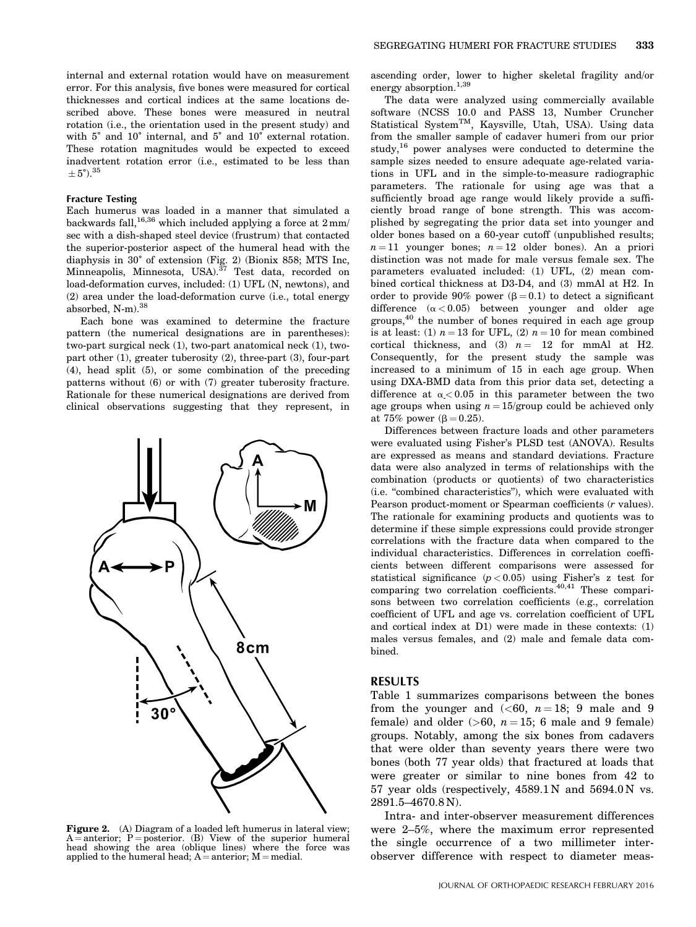internal and external rotation would have on measurement error. For this analysis, five bones were measured for cortical thicknesses and cortical indices at the same locations described above. These bones were measured in neutral rotation (i.e., the orientation used in the present study) and with 5° and 10° internal, and 5° and 10° external rotation. These rotation magnitudes would be expected to exceed inadvertent rotation error (i.e., estimated to be less than  $\pm 5^{\circ}$ ).<sup>35</sup>

#### Fracture Testing

Each humerus was loaded in a manner that simulated a backwards fall,<sup>16,36</sup> which included applying a force at  $2 \text{ mm/s}$ sec with a dish-shaped steel device (frustrum) that contacted the superior-posterior aspect of the humeral head with the diaphysis in 30˚ of extension (Fig. 2) (Bionix 858; MTS Inc, Minneapolis, Minnesota, USA).<sup>37</sup> Test data, recorded on load-deformation curves, included: (1) UFL (N, newtons), and (2) area under the load-deformation curve (i.e., total energy absorbed, N-m).<sup>38</sup>

Each bone was examined to determine the fracture pattern (the numerical designations are in parentheses): two-part surgical neck (1), two-part anatomical neck (1), twopart other (1), greater tuberosity (2), three-part (3), four-part (4), head split (5), or some combination of the preceding patterns without (6) or with (7) greater tuberosity fracture. Rationale for these numerical designations are derived from clinical observations suggesting that they represent, in



**Figure 2.** (A) Diagram of a loaded left humerus in lateral view;<br>A = anterior; P = posterior. (B) View of the superior humeral<br>head showing the area (oblique lines) where the force was applied to the humeral head;  $A =$  anterior;  $M =$  medial.

ascending order, lower to higher skeletal fragility and/or energy absorption.<sup>1,39</sup>

The data were analyzed using commercially available software (NCSS 10.0 and PASS 13, Number Cruncher Statistical System<sup>TM</sup>, Kaysville, Utah, USA). Using data from the smaller sample of cadaver humeri from our prior study,  $16$  power analyses were conducted to determine the sample sizes needed to ensure adequate age-related variations in UFL and in the simple-to-measure radiographic parameters. The rationale for using age was that a sufficiently broad age range would likely provide a sufficiently broad range of bone strength. This was accomplished by segregating the prior data set into younger and older bones based on a 60-year cutoff (unpublished results;  $n = 11$  younger bones;  $n = 12$  older bones). An a priori distinction was not made for male versus female sex. The parameters evaluated included: (1) UFL, (2) mean combined cortical thickness at D3-D4, and (3) mmAl at H2. In order to provide 90% power  $(\beta = 0.1)$  to detect a significant difference  $(\alpha < 0.05)$  between younger and older age groups,<sup>40</sup> the number of bones required in each age group is at least: (1)  $n = 13$  for UFL, (2)  $n = 10$  for mean combined cortical thickness, and (3)  $n = 12$  for mmAl at H2. Consequently, for the present study the sample was increased to a minimum of 15 in each age group. When using DXA-BMD data from this prior data set, detecting a difference at  $\alpha$  < 0.05 in this parameter between the two age groups when using  $n = 15$ /group could be achieved only at 75% power ( $\beta = 0.25$ ).

Differences between fracture loads and other parameters were evaluated using Fisher's PLSD test (ANOVA). Results are expressed as means and standard deviations. Fracture data were also analyzed in terms of relationships with the combination (products or quotients) of two characteristics (i.e. "combined characteristics"), which were evaluated with Pearson product-moment or Spearman coefficients (r values). The rationale for examining products and quotients was to determine if these simple expressions could provide stronger correlations with the fracture data when compared to the individual characteristics. Differences in correlation coefficients between different comparisons were assessed for statistical significance  $(p < 0.05)$  using Fisher's z test for comparing two correlation coefficients.<sup>40,41</sup> These comparisons between two correlation coefficients (e.g., correlation coefficient of UFL and age vs. correlation coefficient of UFL and cortical index at D1) were made in these contexts: (1) males versus females, and (2) male and female data combined.

# RESULTS

Table 1 summarizes comparisons between the bones from the younger and  $(<60, n = 18; 9$  male and 9 female) and older  $(>60, n = 15; 6$  male and 9 female) groups. Notably, among the six bones from cadavers that were older than seventy years there were two bones (both 77 year olds) that fractured at loads that were greater or similar to nine bones from 42 to 57 year olds (respectively,  $4589.1$  N and  $5694.0$  N vs. 2891.5–4670.8 N).

Intra- and inter-observer measurement differences were 2–5%, where the maximum error represented the single occurrence of a two millimeter interobserver difference with respect to diameter meas-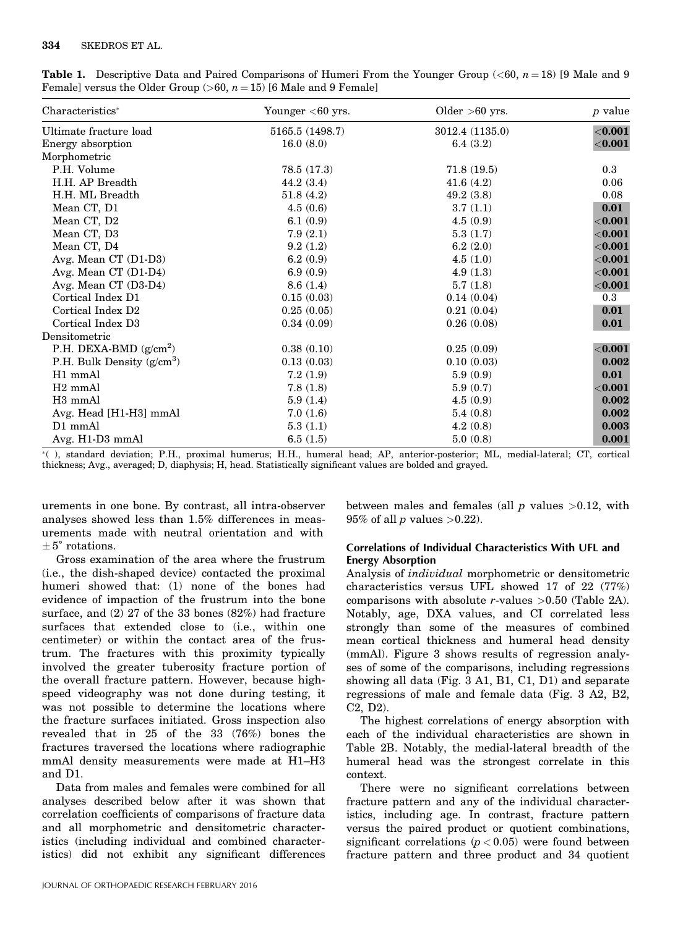| Characteristics*             | Younger $<$ 60 yrs. | Older $>60$ yrs. | <i>p</i> value |
|------------------------------|---------------------|------------------|----------------|
| Ultimate fracture load       | 5165.5 (1498.7)     | 3012.4 (1135.0)  | ${<}0.001$     |
| Energy absorption            | 16.0(8.0)           | 6.4(3.2)         | ${<}0.001$     |
| Morphometric                 |                     |                  |                |
| P.H. Volume                  | 78.5 (17.3)         | 71.8(19.5)       | $0.3\,$        |
| H.H. AP Breadth              | 44.2(3.4)           | 41.6(4.2)        | 0.06           |
| H.H. ML Breadth              | 51.8(4.2)           | 49.2(3.8)        | 0.08           |
| Mean CT, D1                  | 4.5(0.6)            | 3.7(1.1)         | 0.01           |
| Mean CT, D2                  | 6.1(0.9)            | 4.5(0.9)         | ${<}0.001$     |
| Mean CT, D3                  | 7.9(2.1)            | 5.3(1.7)         | $<$ 0.001      |
| Mean CT, D4                  | 9.2(1.2)            | 6.2(2.0)         | ${<}0.001$     |
| Avg. Mean CT (D1-D3)         | 6.2(0.9)            | 4.5(1.0)         | ${<}0.001$     |
| Avg. Mean CT (D1-D4)         | 6.9(0.9)            | 4.9(1.3)         | ${<}0.001$     |
| Avg. Mean CT (D3-D4)         | 8.6(1.4)            | 5.7(1.8)         | ${<}0.001$     |
| Cortical Index D1            | 0.15(0.03)          | 0.14(0.04)       | $0.3\,$        |
| Cortical Index D2            | 0.25(0.05)          | 0.21(0.04)       | 0.01           |
| Cortical Index D3            | 0.34(0.09)          | 0.26(0.08)       | 0.01           |
| Densitometric                |                     |                  |                |
| P.H. DEXA-BMD $(g/cm^2)$     | 0.38(0.10)          | 0.25(0.09)       | ${<}0.001$     |
| P.H. Bulk Density $(g/cm^3)$ | 0.13(0.03)          | 0.10(0.03)       | 0.002          |
| H1 mmAl                      | 7.2(1.9)            | 5.9(0.9)         | 0.01           |
| $H2$ mm $Al$                 | 7.8(1.8)            | 5.9(0.7)         | ${<}0.001$     |
| H <sub>3</sub> mmAl          | 5.9(1.4)            | 4.5(0.9)         | 0.002          |
| Avg. Head [H1-H3] mmAl       | 7.0(1.6)            | 5.4(0.8)         | 0.002          |
| D1 mmAl                      | 5.3(1.1)            | 4.2(0.8)         | 0.003          |
| Avg. H1-D3 mmAl              | 6.5(1.5)            | 5.0(0.8)         | 0.001          |

**Table 1.** Descriptive Data and Paired Comparisons of Humeri From the Younger Group ( $\lt 60$ ,  $n = 18$ ) [9 Male and 9 Female] versus the Older Group (>60,  $n = 15$ ) [6 Male and 9 Female]

( ), standard deviation; P.H., proximal humerus; H.H., humeral head; AP, anterior-posterior; ML, medial-lateral; CT, cortical thickness; Avg., averaged; D, diaphysis; H, head. Statistically significant values are bolded and grayed.

urements in one bone. By contrast, all intra-observer analyses showed less than 1.5% differences in measurements made with neutral orientation and with  $\pm$  5° rotations.

Gross examination of the area where the frustrum (i.e., the dish-shaped device) contacted the proximal humeri showed that: (1) none of the bones had evidence of impaction of the frustrum into the bone surface, and (2) 27 of the 33 bones (82%) had fracture surfaces that extended close to (i.e., within one centimeter) or within the contact area of the frustrum. The fractures with this proximity typically involved the greater tuberosity fracture portion of the overall fracture pattern. However, because highspeed videography was not done during testing, it was not possible to determine the locations where the fracture surfaces initiated. Gross inspection also revealed that in 25 of the 33 (76%) bones the fractures traversed the locations where radiographic mmAl density measurements were made at H1–H3 and D1.

Data from males and females were combined for all analyses described below after it was shown that correlation coefficients of comparisons of fracture data and all morphometric and densitometric characteristics (including individual and combined characteristics) did not exhibit any significant differences

between males and females (all  $p$  values  $>0.12$ , with  $95\%$  of all p values  $>0.22$ ).

# Correlations of Individual Characteristics With UFL and Energy Absorption

Analysis of individual morphometric or densitometric characteristics versus UFL showed 17 of 22 (77%) comparisons with absolute r-values  $>0.50$  (Table 2A). Notably, age, DXA values, and CI correlated less strongly than some of the measures of combined mean cortical thickness and humeral head density (mmAl). Figure 3 shows results of regression analyses of some of the comparisons, including regressions showing all data (Fig. 3 A1, B1, C1, D1) and separate regressions of male and female data (Fig. 3 A2, B2, C2, D2).

The highest correlations of energy absorption with each of the individual characteristics are shown in Table 2B. Notably, the medial-lateral breadth of the humeral head was the strongest correlate in this context.

There were no significant correlations between fracture pattern and any of the individual characteristics, including age. In contrast, fracture pattern versus the paired product or quotient combinations, significant correlations  $(p < 0.05)$  were found between fracture pattern and three product and 34 quotient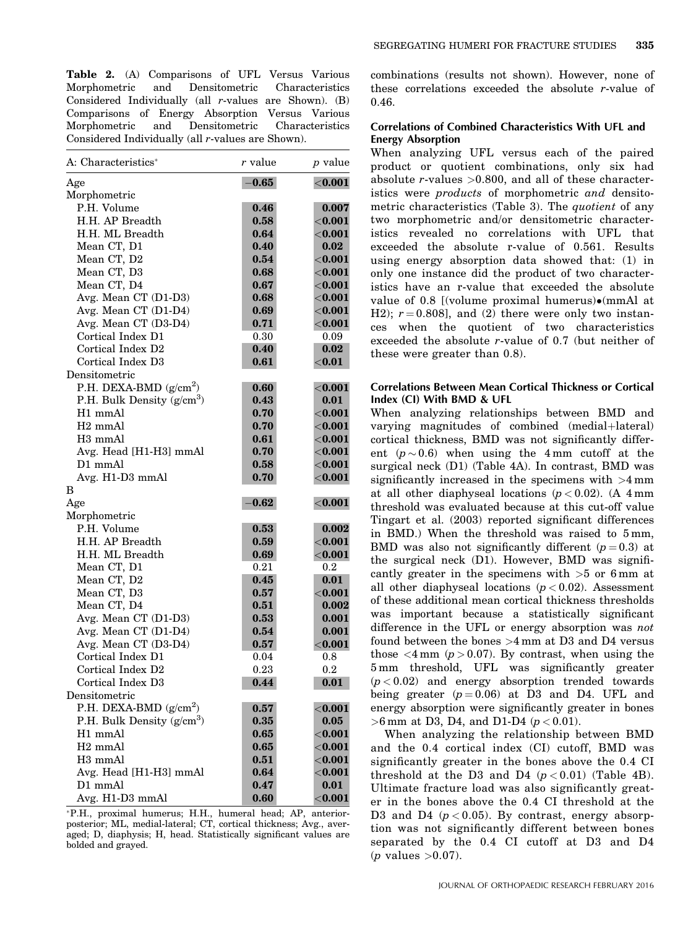Table 2. (A) Comparisons of UFL Versus Various Morphometric and Densitometric Characteristics Considered Individually (all r-values are Shown). (B) Comparisons of Energy Absorption Versus Various Morphometric and Densitometric Characteristics Considered Individually (all r-values are Shown).

| A: Characteristics*                    | r value    | <i>p</i> value   |
|----------------------------------------|------------|------------------|
| Age                                    | $-0.65$    | $<\!\!0.001$     |
| Morphometric                           |            |                  |
| P.H. Volume                            | 0.46       | 0.007            |
| H.H. AP Breadth                        | 0.58       | ${<}0.001$       |
| H.H. ML Breadth                        | 0.64       | ${<}0.001$       |
| Mean CT, D1                            | 0.40       | 0.02             |
| Mean CT, D2                            | 0.54       | $<$ 0.001 $\,$   |
| Mean CT, D3                            | 0.68       | $<$ 0.001 $\,$   |
| Mean CT, D4                            | 0.67       | ${<}0.001$       |
| Avg. Mean CT (D1-D3)                   | 0.68       | ${<}0.001$       |
| Avg. Mean CT (D1-D4)                   | 0.69       | $<$ 0.001 $\,$   |
| Avg. Mean CT (D3-D4)                   | 0.71       | $<$ 0.001 $\,$   |
| Cortical Index D1                      | 0.30       | 0.09             |
| Cortical Index D2                      | 0.40       | 0.02             |
| Cortical Index D3                      | 0.61       | $<$ 0.01         |
| Densitometric                          |            |                  |
| P.H. DEXA-BMD $(g/cm^2)$               | 0.60       | $<$ 0.001        |
| P.H. Bulk Density $(g/cm^3)$           | 0.43       | 0.01             |
| H1 mmAl                                | 0.70       | $<$ $\bf{0.001}$ |
| H <sub>2</sub> mmAl                    | 0.70       | ${<}0.001$       |
| H3 mmAl                                | 0.61       | $<$ 0.001        |
| Avg. Head [H1-H3] mmAl                 | 0.70       | ${<}0.001$       |
| $D1$ mmAl                              | 0.58       | ${<}0.001$       |
| Avg. H1-D3 mmAl                        | 0.70       | $<$ 0.001        |
| B                                      |            |                  |
| Age                                    | $-0.62$    | $<\!\!0.001$     |
| Morphometric                           |            |                  |
| P.H. Volume                            | 0.53       | 0.002            |
| H.H. AP Breadth                        | 0.59       | $<$ $\bf{0.001}$ |
| H.H. ML Breadth                        | 0.69       | $<$ 0.001 $\,$   |
| Mean CT, D1                            | $\rm 0.21$ | $^{0.2}$         |
| Mean CT, D2                            | 0.45       | 0.01             |
| Mean CT, D3                            | 0.57       | $<$ 0.001        |
| Mean CT, D4                            | 0.51       | 0.002            |
| Avg. Mean CT (D1-D3)                   | 0.53       | 0.001            |
| Avg. Mean CT (D1-D4)                   | 0.54       | 0.001            |
| Avg. Mean CT (D3-D4)                   | 0.57       | $<$ 0.001        |
| Cortical Index D1                      | 0.04       | $_{0.8}$         |
| Cortical Index D2                      | 0.23       | 0.2              |
| Cortical Index D3                      | 0.44       | 0.01             |
| Densitometric                          |            |                  |
| P.H. DEXA-BMD $(g/cm^2)$               | 0.57       | $<$ 0.001        |
| P.H. Bulk Density (g/cm <sup>3</sup> ) | 0.35       | 0.05             |
| H1 mmAl                                | 0.65       | $<$ 0.001        |
| H <sub>2</sub> mmAl                    | 0.65       | $<$ 0.001        |
| H3 mmAl                                | 0.51       | $<$ 0.001 $\,$   |
| Avg. Head [H1-H3] mmAl                 | 0.64       | $<$ $0.001$      |
| D1 mmAl                                | 0.47       | 0.01             |
| Avg. H1-D3 mmAl                        | 0.60       | $<$ 0.001 $\,$   |

P.H., proximal humerus; H.H., humeral head; AP, anteriorposterior; ML, medial-lateral; CT, cortical thickness; Avg., averaged; D, diaphysis; H, head. Statistically significant values are bolded and grayed.

combinations (results not shown). However, none of these correlations exceeded the absolute r-value of 0.46.

# Correlations of Combined Characteristics With UFL and Energy Absorption

When analyzing UFL versus each of the paired product or quotient combinations, only six had absolute  $r$ -values  $>0.800$ , and all of these characteristics were products of morphometric and densitometric characteristics (Table 3). The *quotient* of any two morphometric and/or densitometric characteristics revealed no correlations with UFL that exceeded the absolute r-value of 0.561. Results using energy absorption data showed that: (1) in only one instance did the product of two characteristics have an r-value that exceeded the absolute value of 0.8 [(volume proximal humerus)•(mmAl at H2);  $r = 0.808$ ], and (2) there were only two instances when the quotient of two characteristics exceeded the absolute r-value of 0.7 (but neither of these were greater than 0.8).

# Correlations Between Mean Cortical Thickness or Cortical Index (CI) With BMD & UFL

When analyzing relationships between BMD and varying magnitudes of combined (medial+lateral) cortical thickness, BMD was not significantly different  $(p \sim 0.6)$  when using the 4 mm cutoff at the surgical neck (D1) (Table 4A). In contrast, BMD was significantly increased in the specimens with >4 mm at all other diaphyseal locations  $(p < 0.02)$ . (A 4 mm threshold was evaluated because at this cut-off value Tingart et al. (2003) reported significant differences in BMD.) When the threshold was raised to 5 mm, BMD was also not significantly different  $(p=0.3)$  at the surgical neck (D1). However, BMD was significantly greater in the specimens with  $>5$  or 6 mm at all other diaphyseal locations  $(p < 0.02)$ . Assessment of these additional mean cortical thickness thresholds was important because a statistically significant difference in the UFL or energy absorption was *not* found between the bones >4 mm at D3 and D4 versus those  $\langle 4 \text{ mm } (p > 0.07)$ . By contrast, when using the 5 mm threshold, UFL was significantly greater  $(p < 0.02)$  and energy absorption trended towards being greater  $(p=0.06)$  at D3 and D4. UFL and energy absorption were significantly greater in bones  $>6$  mm at D3, D4, and D1-D4 ( $p < 0.01$ ).

When analyzing the relationship between BMD and the 0.4 cortical index (CI) cutoff, BMD was significantly greater in the bones above the 0.4 CI threshold at the D3 and D4  $(p < 0.01)$  (Table 4B). Ultimate fracture load was also significantly greater in the bones above the 0.4 CI threshold at the D3 and D4  $(p<0.05)$ . By contrast, energy absorption was not significantly different between bones separated by the 0.4 CI cutoff at D3 and D4  $(p$  values  $>0.07$ ).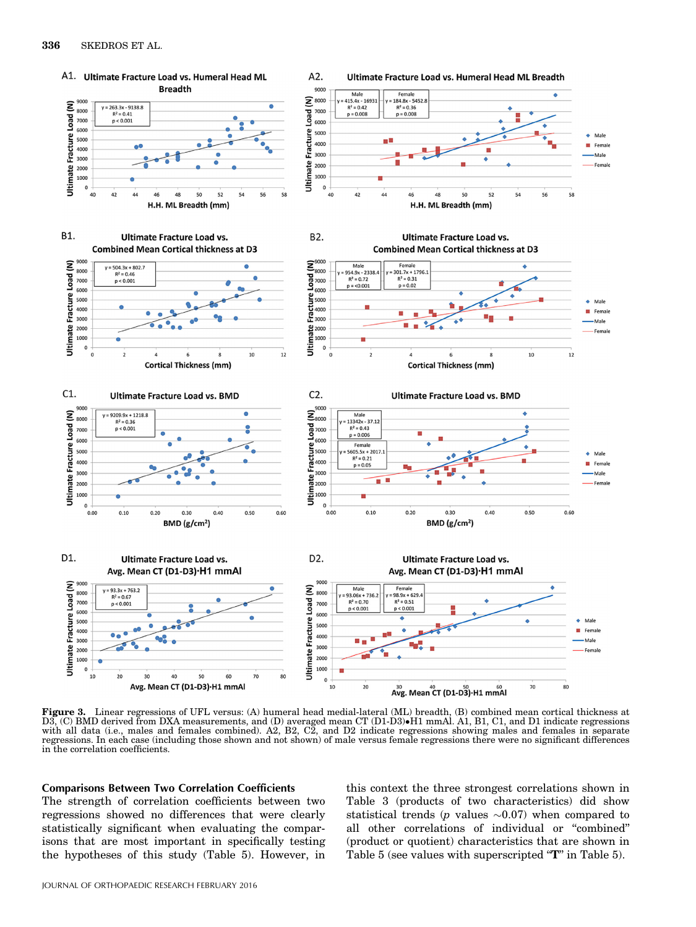

Figure 3. Linear regressions of UFL versus: (A) humeral head medial-lateral (ML) breadth, (B) combined mean cortical thickness at D3, (C) BMD derived from DXA measurements, and (D) averaged mean CT (D1-D3)•H1 mmAl. A1, B1, C1, and D1 indicate regressions<br>with all data (i.e., males and females combined). A2, B2, C2, and D2 indicate regressions showing regressions. In each case (including those shown and not shown) of male versus female regressions there were no significant differences in the correlation coefficients.

# Comparisons Between Two Correlation Coefficients

The strength of correlation coefficients between two regressions showed no differences that were clearly statistically significant when evaluating the comparisons that are most important in specifically testing the hypotheses of this study (Table 5). However, in this context the three strongest correlations shown in Table 3 (products of two characteristics) did show statistical trends (p values  $\sim 0.07$ ) when compared to all other correlations of individual or "combined" (product or quotient) characteristics that are shown in Table 5 (see values with superscripted "T" in Table 5).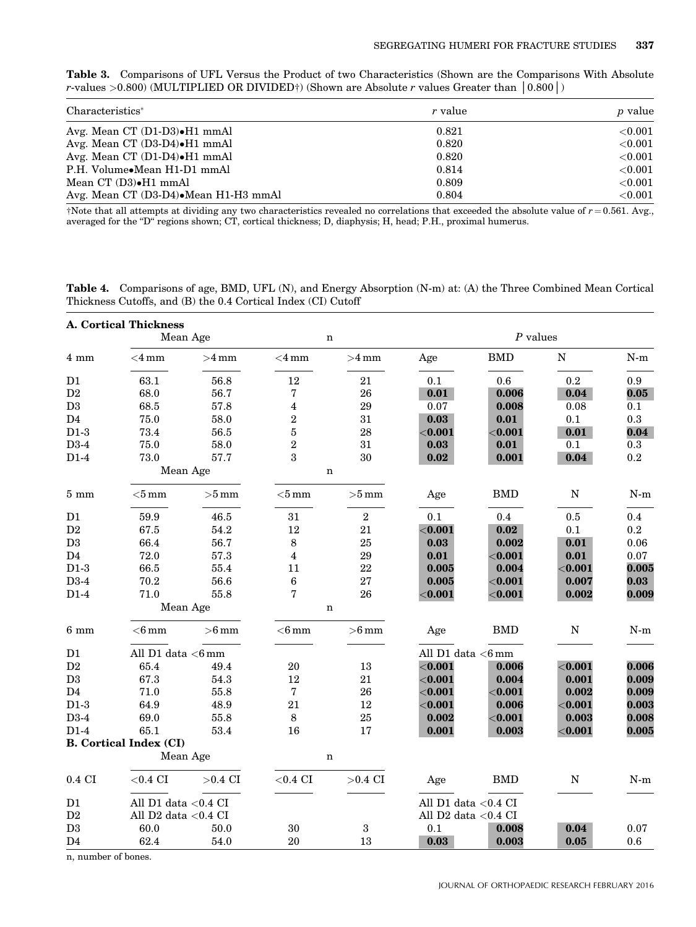Table 3. Comparisons of UFL Versus the Product of two Characteristics (Shown are the Comparisons With Absolute r-values >0.800) (MULTIPLIED OR DIVIDED†) (Shown are Absolute r values Greater than  $(0.800)$ )

| Characteristics <sup>*</sup>          | r value | <i>p</i> value |
|---------------------------------------|---------|----------------|
| Avg. Mean CT (D1-D3)•H1 mmAl          | 0.821   | ${<}0.001$     |
| Avg. Mean CT (D3-D4)•H1 mmAl          | 0.820   | $<$ 0.001      |
| Avg. Mean CT (D1-D4)•H1 mmAl          | 0.820   | $<$ 0.001      |
| P.H. Volume•Mean H1-D1 mmAl           | 0.814   | < 0.001        |
| Mean CT (D3)•H1 mmAl                  | 0.809   | ${<}0.001$     |
| Avg. Mean CT (D3-D4). Mean H1-H3 mmAl | 0.804   | ${<}0.001$     |

†Note that all attempts at dividing any two characteristics revealed no correlations that exceeded the absolute value of  $r = 0.561$ . Avg., averaged for the "D" regions shown; CT, cortical thickness; D, diaphysis; H, head; P.H., proximal humerus.

Table 4. Comparisons of age, BMD, UFL (N), and Energy Absorption (N-m) at: (A) the Three Combined Mean Cortical Thickness Cutoffs, and (B) the 0.4 Cortical Index (CI) Cutoff

|                  | <b>A. Cortical Thickness</b>  |           |                |                |                         |            |             |           |  |  |
|------------------|-------------------------------|-----------|----------------|----------------|-------------------------|------------|-------------|-----------|--|--|
| Mean Age         |                               |           |                | $\mathbf n$    |                         | $P$ values |             |           |  |  |
| $4 \text{ mm}$   | ${<}4\,\mathrm{mm}$           | $>4$ mm   | $<$ 4 mm       | $>4$ mm        | Age                     | <b>BMD</b> | ${\bf N}$   | $N-m$     |  |  |
| D <sub>1</sub>   | 63.1                          | 56.8      | 12             | 21             | 0.1                     | 0.6        | 0.2         | 0.9       |  |  |
| $\mathbf{D}2$    | 68.0                          | 56.7      | 7              | 26             | 0.01                    | 0.006      | 0.04        | 0.05      |  |  |
| $\mathbf{D}3$    | 68.5                          | 57.8      | 4              | 29             | 0.07                    | 0.008      | 0.08        | 0.1       |  |  |
| D4               | 75.0                          | 58.0      | $\overline{2}$ | 31             | 0.03                    | 0.01       | 0.1         | 0.3       |  |  |
| $D1-3$           | 73.4                          | 56.5      | $\bf 5$        | 28             | ${<}0.001$              | ${<}0.001$ | 0.01        | 0.04      |  |  |
| D3-4             | 75.0                          | 58.0      | $\overline{2}$ | 31             | $\bf{0.03}$             | 0.01       | 0.1         | $0.3\,$   |  |  |
| $D1-4$           | 73.0                          | 57.7      | 3              | 30             | 0.02                    | 0.001      | 0.04        | 0.2       |  |  |
| Mean Age         |                               | n         |                |                |                         |            |             |           |  |  |
| $5 \text{ mm}$   | $<$ 5 mm                      | $>5$ mm   | $<$ 5 mm       | $>5$ mm        | Age                     | <b>BMD</b> | $\mathbf N$ | $N-m$     |  |  |
| D <sub>1</sub>   | 59.9                          | 46.5      | 31             | $\overline{2}$ | 0.1                     | 0.4        | 0.5         | 0.4       |  |  |
| D2               | 67.5                          | 54.2      | 12             | 21             | ${<}0.001$              | 0.02       | 0.1         | $\rm 0.2$ |  |  |
| D3               | 66.4                          | 56.7      | 8              | 25             | 0.03                    | 0.002      | 0.01        | 0.06      |  |  |
| D4               | 72.0                          | 57.3      | $\overline{4}$ | 29             | 0.01                    | ${<}0.001$ | 0.01        | 0.07      |  |  |
| $D1-3$           | 66.5                          | 55.4      | 11             | 22             | 0.005                   | 0.004      | $<$ 0.001   | 0.005     |  |  |
| D3-4             | $70.2\,$                      | 56.6      | $\bf 6$        | 27             | 0.005                   | ${<}0.001$ | 0.007       | 0.03      |  |  |
| $D1-4$           | 71.0                          | 55.8      | 7              | 26             | $<$ 0.001               | $<$ 0.001  | 0.002       | 0.009     |  |  |
|                  | Mean Age                      |           | $\mathbf n$    |                |                         |            |             |           |  |  |
| $6 \text{ mm}$   | $<$ 6 mm                      | $>6$ mm   | $<$ 6 mm       | $>6$ mm        | Age                     | <b>BMD</b> | $\mathbf N$ | $N-m$     |  |  |
| D <sub>1</sub>   | All $D1$ data $<$ 6 mm        |           |                |                | All D1 data <6mm        |            |             |           |  |  |
| $\mathbf{D}2$    | 65.4                          | 49.4      | 20             | 13             | $<$ 0.001               | 0.006      | ${<}0.001$  | 0.006     |  |  |
| D3               | 67.3                          | 54.3      | 12             | 21             | ${<}0.001$              | 0.004      | 0.001       | 0.009     |  |  |
| D <sub>4</sub>   | 71.0                          | 55.8      | $\overline{7}$ | 26             | ${<}0.001$              | ${<}0.001$ | 0.002       | 0.009     |  |  |
| $D1-3$           | 64.9                          | 48.9      | 21             | 12             | < 0.001                 | 0.006      | ${<}0.001$  | 0.003     |  |  |
| $D3-4$           | 69.0                          | 55.8      | 8              | 25             | 0.002                   | $<$ 0.001  | 0.003       | 0.008     |  |  |
| $D1-4$           | 65.1                          | 53.4      | 16             | 17             | 0.001                   | 0.003      | ${<}0.001$  | 0.005     |  |  |
|                  | <b>B.</b> Cortical Index (CI) |           |                |                |                         |            |             |           |  |  |
|                  | Mean Age                      |           | $\mathbf n$    |                |                         |            |             |           |  |  |
| $0.4 \text{ CI}$ | $<$ 0.4 CI                    | $>0.4$ CI | ${<}0.4$ CI    | $>0.4$ CI      | Age                     | <b>BMD</b> | N           | N-m       |  |  |
| D <sub>1</sub>   | All D1 data $< 0.4$ CI        |           |                |                | All D1 data $< 0.4$ CI  |            |             |           |  |  |
| D2               | All $D2$ data $< 0.4$ CI      |           |                |                | All D2 data $<\!0.4$ CI |            |             |           |  |  |
| D <sub>3</sub>   | 60.0                          | 50.0      | 30             | 3              | 0.1                     | 0.008      | 0.04        | 0.07      |  |  |
| D <sub>4</sub>   | 62.4                          | 54.0      | 20             | 13             | 0.03                    | 0.003      | 0.05        | 0.6       |  |  |

n, number of bones.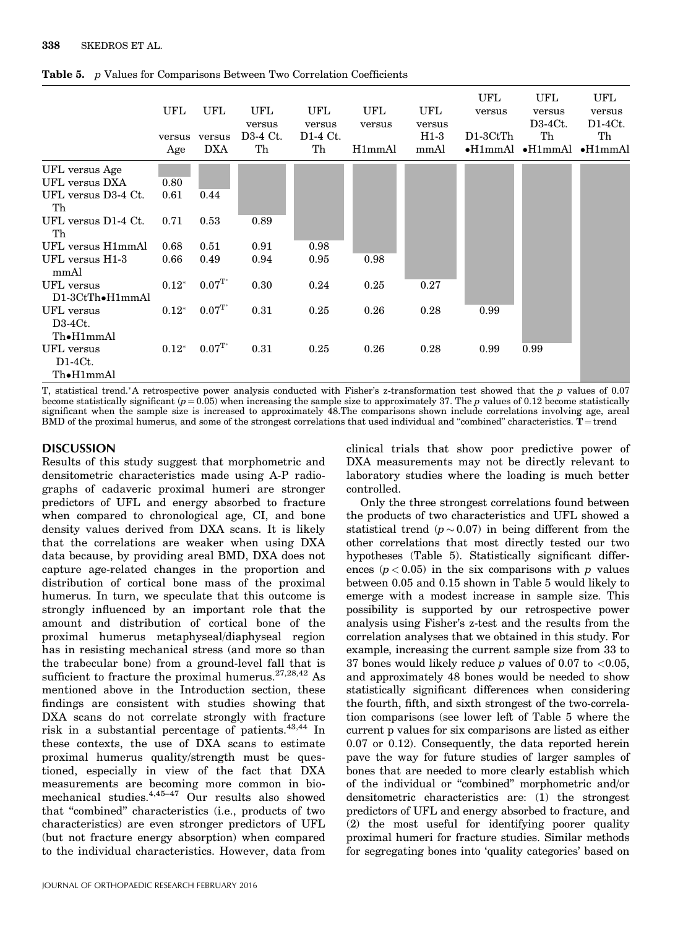|                                        | UFL<br>versus<br>Age | UFL<br>versus<br>DXA  | UFL<br>versus<br>D3-4 Ct.<br>Th | UFL<br>versus<br>$D1-4$ Ct.<br>Th | UFL<br>versus<br>H1mmAl | UFL<br>versus<br>$H1-3$<br>mmAl | UFL<br>versus<br>$D1-3CtTh$ | UFL<br>versus<br>$D3-4Ct.$<br>Th<br>$\bullet$ H1mmAl $\bullet$ H1mmAl $\bullet$ H1mmAl | UFL<br>versus<br>$D1-4Ct.$<br>Th |
|----------------------------------------|----------------------|-----------------------|---------------------------------|-----------------------------------|-------------------------|---------------------------------|-----------------------------|----------------------------------------------------------------------------------------|----------------------------------|
| UFL versus Age                         |                      |                       |                                 |                                   |                         |                                 |                             |                                                                                        |                                  |
| UFL versus DXA                         | 0.80                 |                       |                                 |                                   |                         |                                 |                             |                                                                                        |                                  |
| UFL versus D3-4 Ct.<br>Th              | 0.61                 | 0.44                  |                                 |                                   |                         |                                 |                             |                                                                                        |                                  |
| UFL versus D1-4 Ct.<br>Th              | 0.71                 | 0.53                  | 0.89                            |                                   |                         |                                 |                             |                                                                                        |                                  |
| UFL versus H1mmAl                      | 0.68                 | 0.51                  | 0.91                            | 0.98                              |                         |                                 |                             |                                                                                        |                                  |
| UFL versus H1-3<br>mmAl                | 0.66                 | 0.49                  | 0.94                            | 0.95                              | 0.98                    |                                 |                             |                                                                                        |                                  |
| UFL versus<br>$D1-3CtTh\bullet H1mmAl$ | $0.12^*$             | $0.07^{\mathrm{T}^*}$ | 0.30                            | 0.24                              | 0.25                    | 0.27                            |                             |                                                                                        |                                  |
| UFL versus<br>$D3-4Ct.$                | $0.12*$              | $0.07^{\mathrm{T}^*}$ | 0.31                            | 0.25                              | 0.26                    | 0.28                            | 0.99                        |                                                                                        |                                  |
| Th•H1mmAl                              |                      |                       |                                 |                                   |                         |                                 |                             |                                                                                        |                                  |
| UFL versus<br>$D1-4Ct$ .<br>Th•H1mmAl  | $0.12*$              | $0.07^{\mathrm{T}^*}$ | 0.31                            | 0.25                              | 0.26                    | 0.28                            | 0.99                        | 0.99                                                                                   |                                  |
|                                        |                      |                       |                                 |                                   |                         |                                 |                             |                                                                                        |                                  |

Table 5. p Values for Comparisons Between Two Correlation Coefficients

T, statistical trend.\*A retrospective power analysis conducted with Fisher's z-transformation test showed that the p values of 0.07 become statistically significant  $(p = 0.05)$  when increasing the sample size to approximately 37. The p values of 0.12 become statistically significant when the sample size is increased to approximately 48.The comparisons shown include correlations involving age, areal BMD of the proximal humerus, and some of the strongest correlations that used individual and "combined" characteristics.  $T = \text{trend}$ 

# DISCUSSION

Results of this study suggest that morphometric and densitometric characteristics made using A-P radiographs of cadaveric proximal humeri are stronger predictors of UFL and energy absorbed to fracture when compared to chronological age, CI, and bone density values derived from DXA scans. It is likely that the correlations are weaker when using DXA data because, by providing areal BMD, DXA does not capture age-related changes in the proportion and distribution of cortical bone mass of the proximal humerus. In turn, we speculate that this outcome is strongly influenced by an important role that the amount and distribution of cortical bone of the proximal humerus metaphyseal/diaphyseal region has in resisting mechanical stress (and more so than the trabecular bone) from a ground-level fall that is sufficient to fracture the proximal humerus.<sup>27,28,42</sup> As mentioned above in the Introduction section, these findings are consistent with studies showing that DXA scans do not correlate strongly with fracture risk in a substantial percentage of patients.  $43,44$  In these contexts, the use of DXA scans to estimate proximal humerus quality/strength must be questioned, especially in view of the fact that DXA measurements are becoming more common in biomechanical studies. $4,45-47$  Our results also showed that "combined" characteristics (i.e., products of two characteristics) are even stronger predictors of UFL (but not fracture energy absorption) when compared to the individual characteristics. However, data from

clinical trials that show poor predictive power of DXA measurements may not be directly relevant to laboratory studies where the loading is much better controlled.

Only the three strongest correlations found between the products of two characteristics and UFL showed a statistical trend ( $p \sim 0.07$ ) in being different from the other correlations that most directly tested our two hypotheses (Table 5). Statistically significant differences  $(p < 0.05)$  in the six comparisons with p values between 0.05 and 0.15 shown in Table 5 would likely to emerge with a modest increase in sample size. This possibility is supported by our retrospective power analysis using Fisher's z-test and the results from the correlation analyses that we obtained in this study. For example, increasing the current sample size from 33 to 37 bones would likely reduce  $p$  values of 0.07 to <0.05, and approximately 48 bones would be needed to show statistically significant differences when considering the fourth, fifth, and sixth strongest of the two-correlation comparisons (see lower left of Table 5 where the current p values for six comparisons are listed as either 0.07 or 0.12). Consequently, the data reported herein pave the way for future studies of larger samples of bones that are needed to more clearly establish which of the individual or "combined" morphometric and/or densitometric characteristics are: (1) the strongest predictors of UFL and energy absorbed to fracture, and (2) the most useful for identifying poorer quality proximal humeri for fracture studies. Similar methods for segregating bones into 'quality categories' based on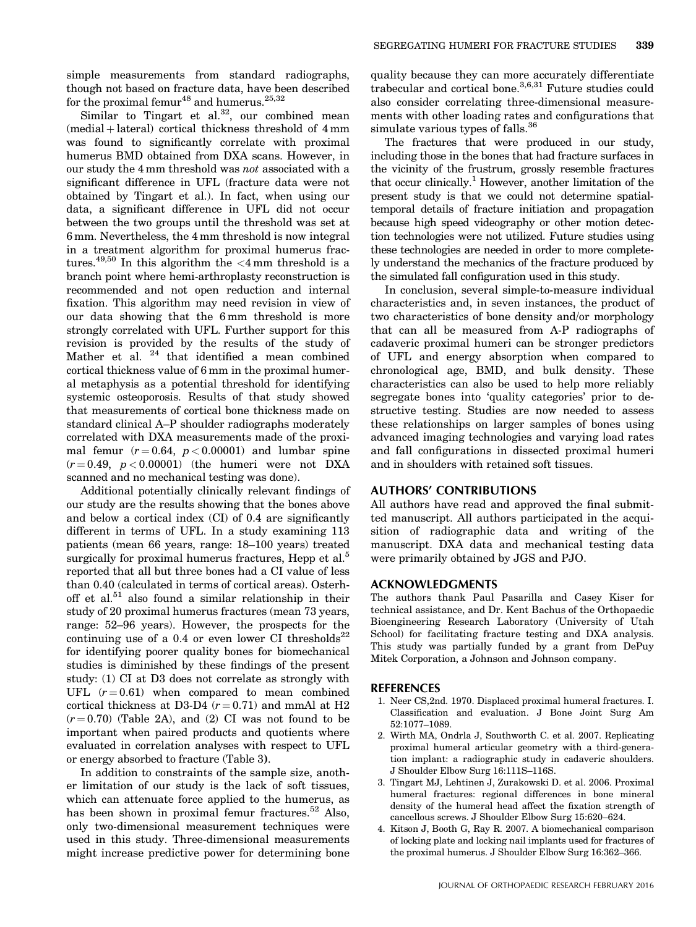simple measurements from standard radiographs, though not based on fracture data, have been described for the proximal femur<sup>48</sup> and humerus.<sup>25,32</sup>

Similar to Tingart et al.<sup>32</sup>, our combined mean  $(medial + lateral)$  cortical thickness threshold of  $4 \text{ mm}$ was found to significantly correlate with proximal humerus BMD obtained from DXA scans. However, in our study the 4 mm threshold was not associated with a significant difference in UFL (fracture data were not obtained by Tingart et al.). In fact, when using our data, a significant difference in UFL did not occur between the two groups until the threshold was set at 6 mm. Nevertheless, the 4 mm threshold is now integral in a treatment algorithm for proximal humerus fractures.<sup>49,50</sup> In this algorithm the  $\langle 4 \text{ mm}$  threshold is a branch point where hemi-arthroplasty reconstruction is recommended and not open reduction and internal fixation. This algorithm may need revision in view of our data showing that the 6 mm threshold is more strongly correlated with UFL. Further support for this revision is provided by the results of the study of Mather et al. <sup>24</sup> that identified a mean combined cortical thickness value of 6 mm in the proximal humeral metaphysis as a potential threshold for identifying systemic osteoporosis. Results of that study showed that measurements of cortical bone thickness made on standard clinical A–P shoulder radiographs moderately correlated with DXA measurements made of the proximal femur  $(r = 0.64, p < 0.00001)$  and lumbar spine  $(r = 0.49, p < 0.00001)$  (the humeri were not DXA scanned and no mechanical testing was done).

Additional potentially clinically relevant findings of our study are the results showing that the bones above and below a cortical index (CI) of 0.4 are significantly different in terms of UFL. In a study examining 113 patients (mean 66 years, range: 18–100 years) treated surgically for proximal humerus fractures, Hepp et al.<sup>5</sup> reported that all but three bones had a CI value of less than 0.40 (calculated in terms of cortical areas). Osterhoff et al. $51$  also found a similar relationship in their study of 20 proximal humerus fractures (mean 73 years, range: 52–96 years). However, the prospects for the continuing use of a 0.4 or even lower CI thresholds<sup>22</sup> for identifying poorer quality bones for biomechanical studies is diminished by these findings of the present study: (1) CI at D3 does not correlate as strongly with UFL  $(r=0.61)$  when compared to mean combined cortical thickness at D3-D4  $(r = 0.71)$  and mmAl at H2  $(r=0.70)$  (Table 2A), and (2) CI was not found to be important when paired products and quotients where evaluated in correlation analyses with respect to UFL or energy absorbed to fracture (Table 3).

In addition to constraints of the sample size, another limitation of our study is the lack of soft tissues, which can attenuate force applied to the humerus, as has been shown in proximal femur fractures.<sup>52</sup> Also, only two-dimensional measurement techniques were used in this study. Three-dimensional measurements might increase predictive power for determining bone quality because they can more accurately differentiate trabecular and cortical bone.3,6,31 Future studies could also consider correlating three-dimensional measurements with other loading rates and configurations that simulate various types of falls.<sup>36</sup>

The fractures that were produced in our study, including those in the bones that had fracture surfaces in the vicinity of the frustrum, grossly resemble fractures that occur clinically.<sup>1</sup> However, another limitation of the present study is that we could not determine spatialtemporal details of fracture initiation and propagation because high speed videography or other motion detection technologies were not utilized. Future studies using these technologies are needed in order to more completely understand the mechanics of the fracture produced by the simulated fall configuration used in this study.

In conclusion, several simple-to-measure individual characteristics and, in seven instances, the product of two characteristics of bone density and/or morphology that can all be measured from A-P radiographs of cadaveric proximal humeri can be stronger predictors of UFL and energy absorption when compared to chronological age, BMD, and bulk density. These characteristics can also be used to help more reliably segregate bones into 'quality categories' prior to destructive testing. Studies are now needed to assess these relationships on larger samples of bones using advanced imaging technologies and varying load rates and fall configurations in dissected proximal humeri and in shoulders with retained soft tissues.

#### AUTHORS' CONTRIBUTIONS

All authors have read and approved the final submitted manuscript. All authors participated in the acquisition of radiographic data and writing of the manuscript. DXA data and mechanical testing data were primarily obtained by JGS and PJO.

# ACKNOWLEDGMENTS

The authors thank Paul Pasarilla and Casey Kiser for technical assistance, and Dr. Kent Bachus of the Orthopaedic Bioengineering Research Laboratory (University of Utah School) for facilitating fracture testing and DXA analysis. This study was partially funded by a grant from DePuy Mitek Corporation, a Johnson and Johnson company.

## REFERENCES

- 1. Neer CS,2nd. 1970. Displaced proximal humeral fractures. I. Classification and evaluation. J Bone Joint Surg Am 52:1077–1089.
- 2. Wirth MA, Ondrla J, Southworth C. et al. 2007. Replicating proximal humeral articular geometry with a third-generation implant: a radiographic study in cadaveric shoulders. J Shoulder Elbow Surg 16:111S–116S.
- 3. Tingart MJ, Lehtinen J, Zurakowski D. et al. 2006. Proximal humeral fractures: regional differences in bone mineral density of the humeral head affect the fixation strength of cancellous screws. J Shoulder Elbow Surg 15:620–624.
- 4. Kitson J, Booth G, Ray R. 2007. A biomechanical comparison of locking plate and locking nail implants used for fractures of the proximal humerus. J Shoulder Elbow Surg 16:362–366.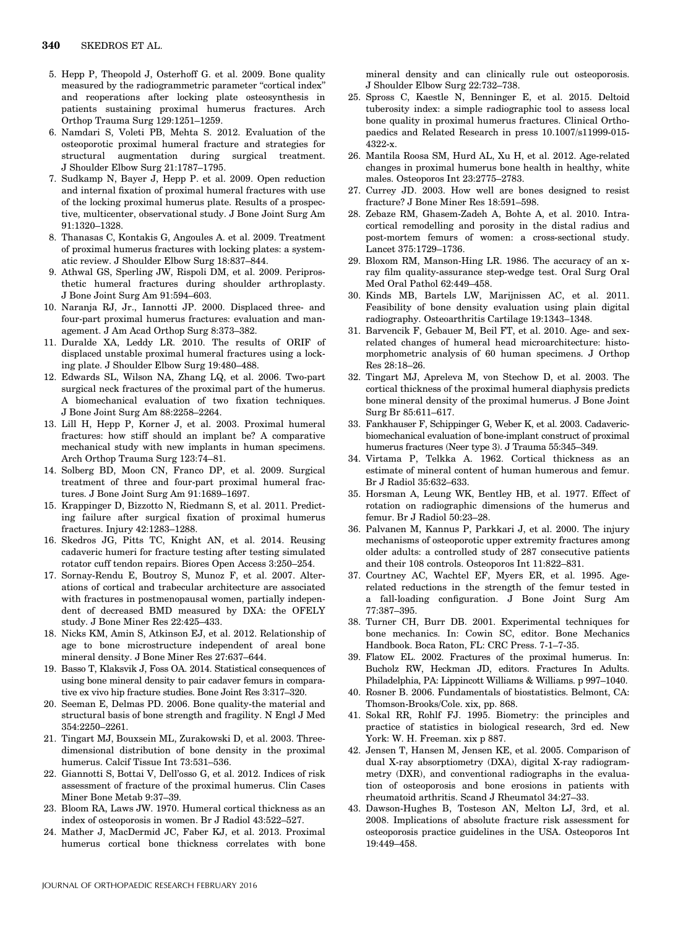- 5. Hepp P, Theopold J, Osterhoff G. et al. 2009. Bone quality measured by the radiogrammetric parameter "cortical index" and reoperations after locking plate osteosynthesis in patients sustaining proximal humerus fractures. Arch Orthop Trauma Surg 129:1251–1259.
- 6. Namdari S, Voleti PB, Mehta S. 2012. Evaluation of the osteoporotic proximal humeral fracture and strategies for structural augmentation during surgical treatment. J Shoulder Elbow Surg 21:1787–1795.
- 7. Sudkamp N, Bayer J, Hepp P. et al. 2009. Open reduction and internal fixation of proximal humeral fractures with use of the locking proximal humerus plate. Results of a prospective, multicenter, observational study. J Bone Joint Surg Am 91:1320–1328.
- 8. Thanasas C, Kontakis G, Angoules A. et al. 2009. Treatment of proximal humerus fractures with locking plates: a systematic review. J Shoulder Elbow Surg 18:837–844.
- 9. Athwal GS, Sperling JW, Rispoli DM, et al. 2009. Periprosthetic humeral fractures during shoulder arthroplasty. J Bone Joint Surg Am 91:594–603.
- 10. Naranja RJ, Jr., Iannotti JP. 2000. Displaced three- and four-part proximal humerus fractures: evaluation and management. J Am Acad Orthop Surg 8:373–382.
- 11. Duralde XA, Leddy LR. 2010. The results of ORIF of displaced unstable proximal humeral fractures using a locking plate. J Shoulder Elbow Surg 19:480–488.
- 12. Edwards SL, Wilson NA, Zhang LQ, et al. 2006. Two-part surgical neck fractures of the proximal part of the humerus. A biomechanical evaluation of two fixation techniques. J Bone Joint Surg Am 88:2258–2264.
- 13. Lill H, Hepp P, Korner J, et al. 2003. Proximal humeral fractures: how stiff should an implant be? A comparative mechanical study with new implants in human specimens. Arch Orthop Trauma Surg 123:74–81.
- 14. Solberg BD, Moon CN, Franco DP, et al. 2009. Surgical treatment of three and four-part proximal humeral fractures. J Bone Joint Surg Am 91:1689–1697.
- 15. Krappinger D, Bizzotto N, Riedmann S, et al. 2011. Predicting failure after surgical fixation of proximal humerus fractures. Injury 42:1283–1288.
- 16. Skedros JG, Pitts TC, Knight AN, et al. 2014. Reusing cadaveric humeri for fracture testing after testing simulated rotator cuff tendon repairs. Biores Open Access 3:250–254.
- 17. Sornay-Rendu E, Boutroy S, Munoz F, et al. 2007. Alterations of cortical and trabecular architecture are associated with fractures in postmenopausal women, partially independent of decreased BMD measured by DXA: the OFELY study. J Bone Miner Res 22:425–433.
- 18. Nicks KM, Amin S, Atkinson EJ, et al. 2012. Relationship of age to bone microstructure independent of areal bone mineral density. J Bone Miner Res 27:637–644.
- 19. Basso T, Klaksvik J, Foss OA. 2014. Statistical consequences of using bone mineral density to pair cadaver femurs in comparative ex vivo hip fracture studies. Bone Joint Res 3:317–320.
- 20. Seeman E, Delmas PD. 2006. Bone quality-the material and structural basis of bone strength and fragility. N Engl J Med 354:2250–2261.
- 21. Tingart MJ, Bouxsein ML, Zurakowski D, et al. 2003. Threedimensional distribution of bone density in the proximal humerus. Calcif Tissue Int 73:531–536.
- 22. Giannotti S, Bottai V, Dell'osso G, et al. 2012. Indices of risk assessment of fracture of the proximal humerus. Clin Cases Miner Bone Metab 9:37–39.
- 23. Bloom RA, Laws JW. 1970. Humeral cortical thickness as an index of osteoporosis in women. Br J Radiol 43:522–527.
- 24. Mather J, MacDermid JC, Faber KJ, et al. 2013. Proximal humerus cortical bone thickness correlates with bone

mineral density and can clinically rule out osteoporosis. J Shoulder Elbow Surg 22:732–738.

- 25. Spross C, Kaestle N, Benninger E, et al. 2015. Deltoid tuberosity index: a simple radiographic tool to assess local bone quality in proximal humerus fractures. Clinical Orthopaedics and Related Research in press 10.1007/s11999-015- 4322-x.
- 26. Mantila Roosa SM, Hurd AL, Xu H, et al. 2012. Age-related changes in proximal humerus bone health in healthy, white males. Osteoporos Int 23:2775–2783.
- 27. Currey JD. 2003. How well are bones designed to resist fracture? J Bone Miner Res 18:591–598.
- 28. Zebaze RM, Ghasem-Zadeh A, Bohte A, et al. 2010. Intracortical remodelling and porosity in the distal radius and post-mortem femurs of women: a cross-sectional study. Lancet 375:1729–1736.
- 29. Bloxom RM, Manson-Hing LR. 1986. The accuracy of an xray film quality-assurance step-wedge test. Oral Surg Oral Med Oral Pathol 62:449–458.
- 30. Kinds MB, Bartels LW, Marijnissen AC, et al. 2011. Feasibility of bone density evaluation using plain digital radiography. Osteoarthritis Cartilage 19:1343–1348.
- 31. Barvencik F, Gebauer M, Beil FT, et al. 2010. Age- and sexrelated changes of humeral head microarchitecture: histomorphometric analysis of 60 human specimens. J Orthop Res 28:18–26.
- 32. Tingart MJ, Apreleva M, von Stechow D, et al. 2003. The cortical thickness of the proximal humeral diaphysis predicts bone mineral density of the proximal humerus. J Bone Joint Surg Br 85:611–617.
- 33. Fankhauser F, Schippinger G, Weber K, et al. 2003. Cadavericbiomechanical evaluation of bone-implant construct of proximal humerus fractures (Neer type 3). J Trauma 55:345–349.
- 34. Virtama P, Telkka A. 1962. Cortical thickness as an estimate of mineral content of human humerous and femur. Br J Radiol 35:632–633.
- 35. Horsman A, Leung WK, Bentley HB, et al. 1977. Effect of rotation on radiographic dimensions of the humerus and femur. Br J Radiol 50:23–28.
- 36. Palvanen M, Kannus P, Parkkari J, et al. 2000. The injury mechanisms of osteoporotic upper extremity fractures among older adults: a controlled study of 287 consecutive patients and their 108 controls. Osteoporos Int 11:822–831.
- 37. Courtney AC, Wachtel EF, Myers ER, et al. 1995. Agerelated reductions in the strength of the femur tested in a fall-loading configuration. J Bone Joint Surg Am 77:387–395.
- 38. Turner CH, Burr DB. 2001. Experimental techniques for bone mechanics. In: Cowin SC, editor. Bone Mechanics Handbook. Boca Raton, FL: CRC Press. 7-1–7-35.
- 39. Flatow EL. 2002. Fractures of the proximal humerus. In: Bucholz RW, Heckman JD, editors. Fractures In Adults. Philadelphia, PA: Lippincott Williams & Williams. p 997–1040.
- 40. Rosner B. 2006. Fundamentals of biostatistics. Belmont, CA: Thomson-Brooks/Cole. xix, pp. 868.
- 41. Sokal RR, Rohlf FJ. 1995. Biometry: the principles and practice of statistics in biological research, 3rd ed. New York: W. H. Freeman. xix p 887.
- 42. Jensen T, Hansen M, Jensen KE, et al. 2005. Comparison of dual X-ray absorptiometry (DXA), digital X-ray radiogrammetry (DXR), and conventional radiographs in the evaluation of osteoporosis and bone erosions in patients with rheumatoid arthritis. Scand J Rheumatol 34:27–33.
- 43. Dawson-Hughes B, Tosteson AN, Melton LJ, 3rd, et al. 2008. Implications of absolute fracture risk assessment for osteoporosis practice guidelines in the USA. Osteoporos Int 19:449–458.